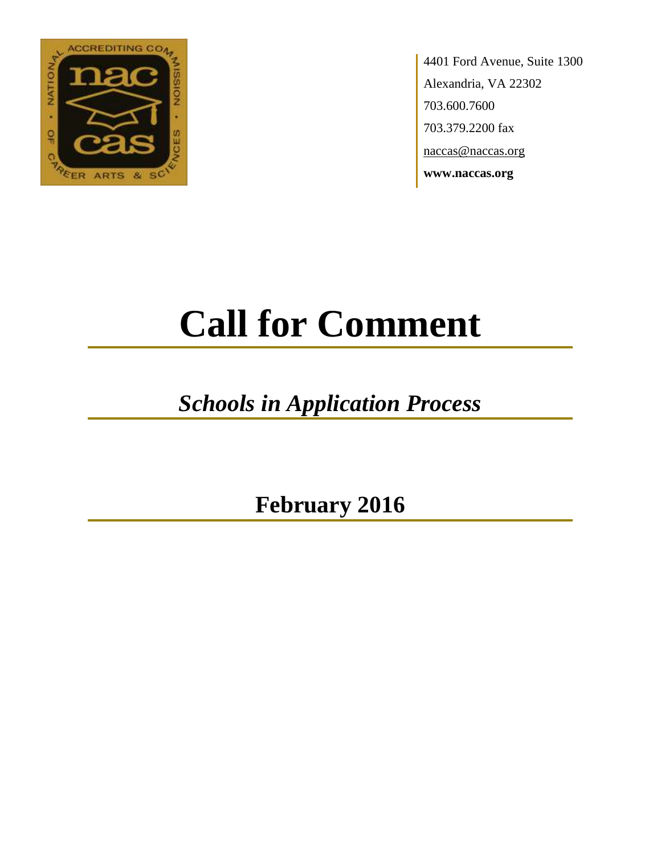

4401 Ford Avenue, Suite 1300 Alexandria, VA 22302 703.600.7600 703.379.2200 fax naccas@naccas.org **www.naccas.org**

# **Call for Comment**

## *Schools in Application Process*

**February 2016**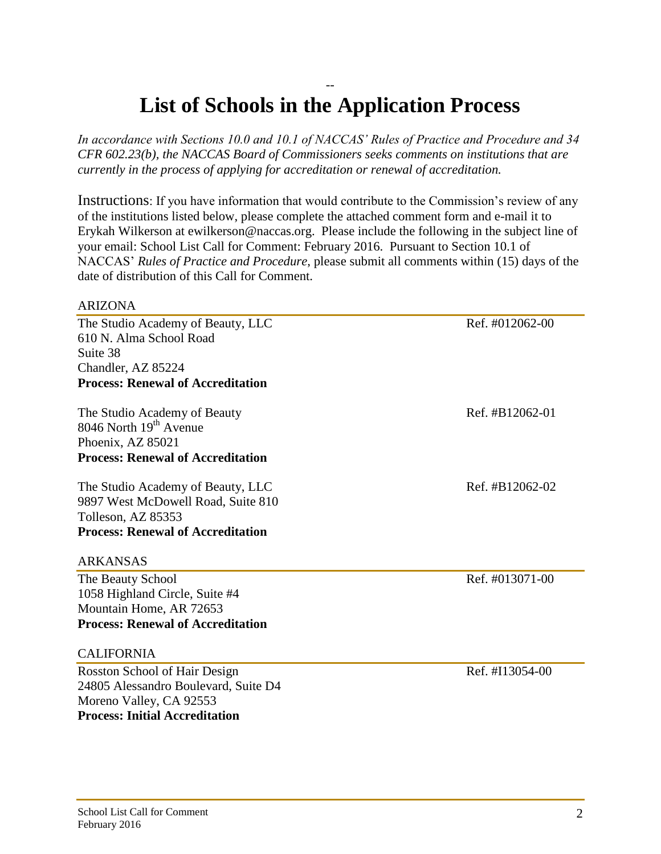### -- **List of Schools in the Application Process**

*In accordance with Sections 10.0 and 10.1 of NACCAS' Rules of Practice and Procedure and 34 CFR 602.23(b), the NACCAS Board of Commissioners seeks comments on institutions that are currently in the process of applying for accreditation or renewal of accreditation.*

Instructions: If you have information that would contribute to the Commission's review of any of the institutions listed below, please complete the attached comment form and e-mail it to Erykah Wilkerson at ewilkerson@naccas.org. Please include the following in the subject line of your email: School List Call for Comment: February 2016. Pursuant to Section 10.1 of NACCAS' *Rules of Practice and Procedure*, please submit all comments within (15) days of the date of distribution of this Call for Comment.

#### ARIZONA

The Studio Academy of Beauty, LLC Ref. #012062-00 610 N. Alma School Road Suite 38 Chandler, AZ 85224 **Process: Renewal of Accreditation** The Studio Academy of Beauty Ref. #B12062-01  $8046$  North  $19<sup>th</sup>$  Avenue Phoenix, AZ 85021 **Process: Renewal of Accreditation** The Studio Academy of Beauty, LLC Ref. #B12062-02 9897 West McDowell Road, Suite 810 Tolleson, AZ 85353 **Process: Renewal of Accreditation** ARKANSAS The Beauty School Ref. #013071-00

1058 Highland Circle, Suite #4 Mountain Home, AR 72653 **Process: Renewal of Accreditation**

#### CALIFORNIA

Rosston School of Hair Design Ref. #I13054-00 24805 Alessandro Boulevard, Suite D4 Moreno Valley, CA 92553 **Process: Initial Accreditation**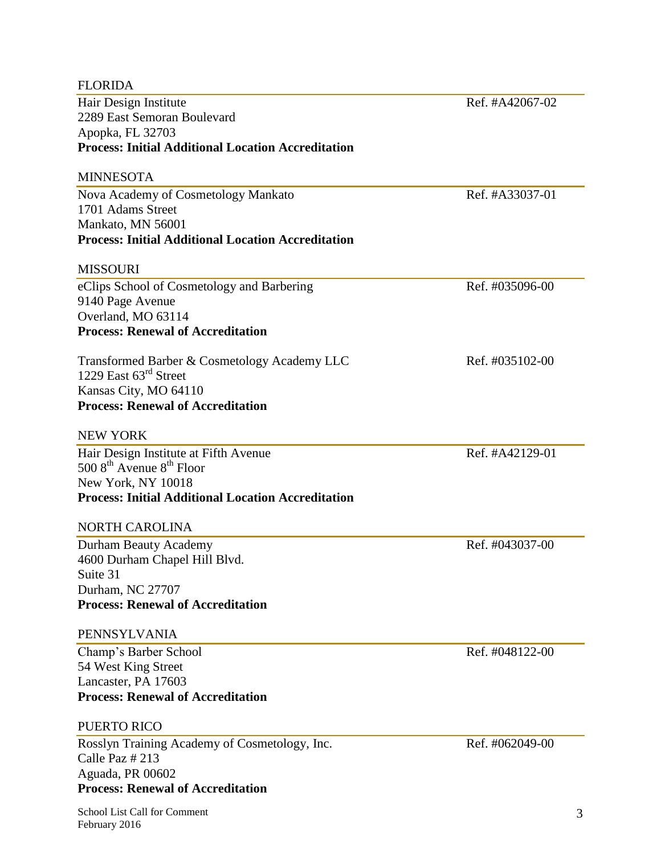| <b>FLORIDA</b>                                               |                 |
|--------------------------------------------------------------|-----------------|
| Hair Design Institute                                        | Ref. #A42067-02 |
| 2289 East Semoran Boulevard                                  |                 |
| Apopka, FL 32703                                             |                 |
| <b>Process: Initial Additional Location Accreditation</b>    |                 |
| MINNESOTA                                                    |                 |
| Nova Academy of Cosmetology Mankato                          | Ref. #A33037-01 |
| 1701 Adams Street                                            |                 |
| Mankato, MN 56001                                            |                 |
| <b>Process: Initial Additional Location Accreditation</b>    |                 |
| MISSOURI                                                     |                 |
| eClips School of Cosmetology and Barbering                   | Ref. #035096-00 |
| 9140 Page Avenue                                             |                 |
| Overland, MO 63114                                           |                 |
| <b>Process: Renewal of Accreditation</b>                     |                 |
| Transformed Barber & Cosmetology Academy LLC                 | Ref. #035102-00 |
| 1229 East $63^{\text{rd}}$ Street                            |                 |
| Kansas City, MO 64110                                        |                 |
| <b>Process: Renewal of Accreditation</b>                     |                 |
| NEW YORK                                                     |                 |
| Hair Design Institute at Fifth Avenue                        | Ref. #A42129-01 |
| 500 $8^{\text{th}}$ Avenue $8^{\text{th}}$ Floor             |                 |
| New York, NY 10018                                           |                 |
| <b>Process: Initial Additional Location Accreditation</b>    |                 |
| NORTH CAROLINA                                               |                 |
| Durham Beauty Academy                                        | Ref. #043037-00 |
| 4600 Durham Chapel Hill Blvd.                                |                 |
| Suite 31                                                     |                 |
| Durham, NC 27707<br><b>Process: Renewal of Accreditation</b> |                 |
|                                                              |                 |
| PENNSYLVANIA                                                 |                 |
| Champ's Barber School                                        | Ref. #048122-00 |
| 54 West King Street                                          |                 |
| Lancaster, PA 17603                                          |                 |
| <b>Process: Renewal of Accreditation</b>                     |                 |
| PUERTO RICO                                                  |                 |
| Rosslyn Training Academy of Cosmetology, Inc.                | Ref. #062049-00 |
| Calle Paz # 213                                              |                 |
| Aguada, PR 00602                                             |                 |
| <b>Process: Renewal of Accreditation</b>                     |                 |

÷,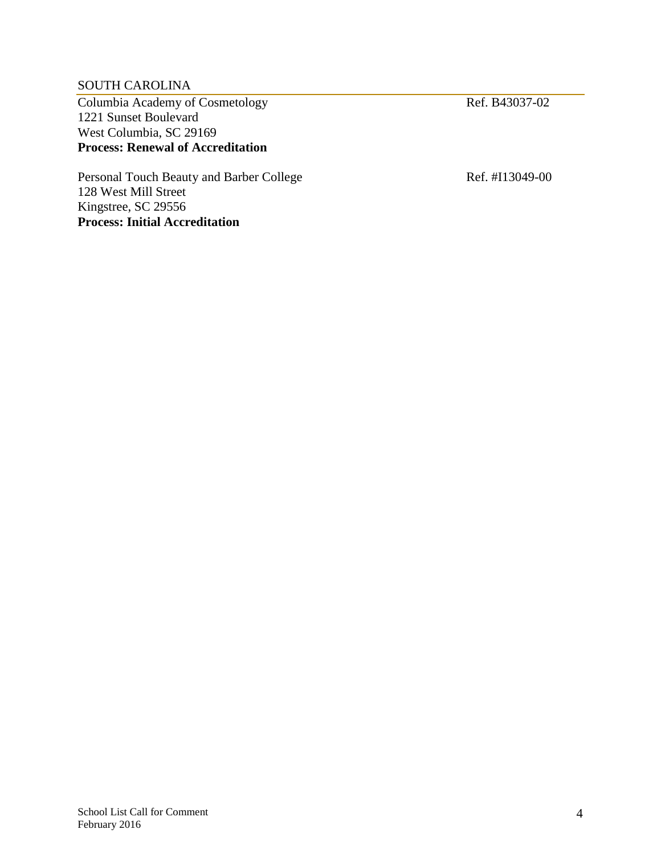#### SOUTH CAROLINA

Columbia Academy of Cosmetology Ref. B43037-02 1221 Sunset Boulevard West Columbia, SC 29169 **Process: Renewal of Accreditation**

Personal Touch Beauty and Barber College Ref. #I13049-00 128 West Mill Street Kingstree, SC 29556 **Process: Initial Accreditation**